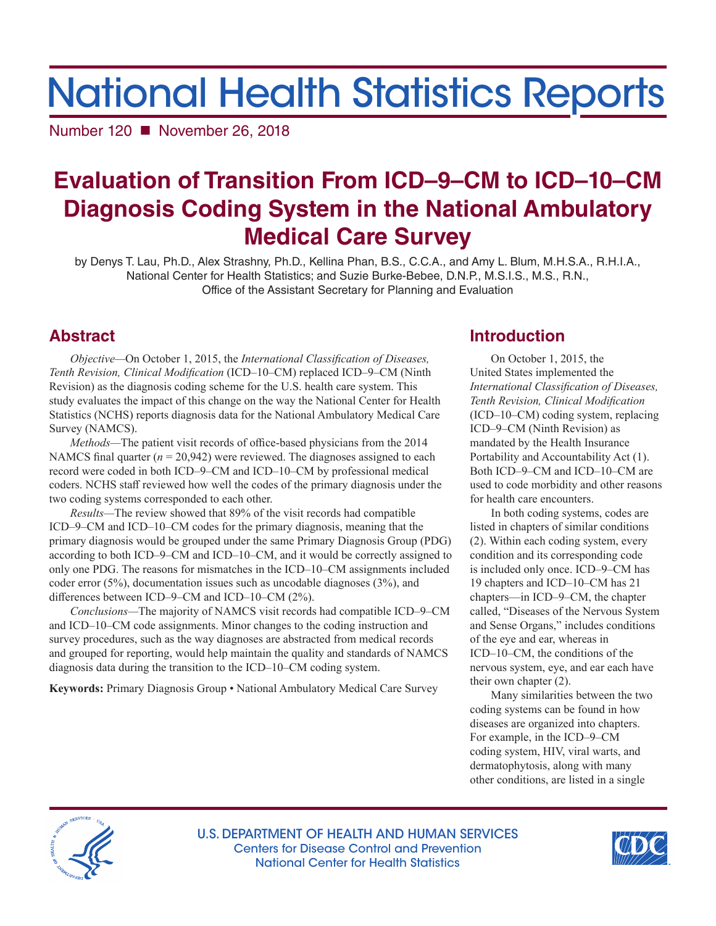# National Health Statistics Reports

Number 120 ■ November 26, 2018

## **Evaluation of Transition From ICD–9–CM to ICD–10–CM Diagnosis Coding System in the National Ambulatory Medical Care Survey**

by Denys T. Lau, Ph.D., Alex Strashny, Ph.D., Kellina Phan, B.S., C.C.A., and Amy L. Blum, M.H.S.A., R.H.I.A., National Center for Health Statistics; and Suzie Burke-Bebee, D.N.P., M.S.I.S., M.S., R.N., Office of the Assistant Secretary for Planning and Evaluation

## **Abstract**

*Objective—*On October 1, 2015, the *International Classification of Diseases, Tenth Revision, Clinical Modification* (ICD–10–CM) replaced ICD–9–CM (Ninth Revision) as the diagnosis coding scheme for the U.S. health care system. This study evaluates the impact of this change on the way the National Center for Health Statistics (NCHS) reports diagnosis data for the National Ambulatory Medical Care Survey (NAMCS).

*Methods—*The patient visit records of office-based physicians from the 2014 NAMCS final quarter  $(n = 20,942)$  were reviewed. The diagnoses assigned to each record were coded in both ICD–9–CM and ICD–10–CM by professional medical coders. NCHS staff reviewed how well the codes of the primary diagnosis under the two coding systems corresponded to each other.

*Results—*The review showed that 89% of the visit records had compatible ICD–9–CM and ICD–10–CM codes for the primary diagnosis, meaning that the primary diagnosis would be grouped under the same Primary Diagnosis Group (PDG) according to both ICD–9–CM and ICD–10–CM, and it would be correctly assigned to only one PDG. The reasons for mismatches in the ICD–10–CM assignments included coder error (5%), documentation issues such as uncodable diagnoses (3%), and differences between ICD–9–CM and ICD–10–CM (2%).

*Conclusions—*The majority of NAMCS visit records had compatible ICD–9–CM and ICD–10–CM code assignments. Minor changes to the coding instruction and survey procedures, such as the way diagnoses are abstracted from medical records and grouped for reporting, would help maintain the quality and standards of NAMCS diagnosis data during the transition to the ICD–10–CM coding system.

**Keywords:** Primary Diagnosis Group • National Ambulatory Medical Care Survey

## **Introduction**

On October 1, 2015, the United States implemented the *International Classification of Diseases, Tenth Revision, Clinical Modification*  (ICD–10–CM) coding system, replacing ICD–9–CM (Ninth Revision) as mandated by the Health Insurance Portability and Accountability Act (1). Both ICD–9–CM and ICD–10–CM are used to code morbidity and other reasons for health care encounters.

In both coding systems, codes are listed in chapters of similar conditions (2). Within each coding system, every condition and its corresponding code is included only once. ICD–9–CM has 19 chapters and ICD–10–CM has 21 chapters—in ICD–9–CM, the chapter called, "Diseases of the Nervous System and Sense Organs," includes conditions of the eye and ear, whereas in ICD–10–CM, the conditions of the nervous system, eye, and ear each have their own chapter (2).

Many similarities between the two coding systems can be found in how diseases are organized into chapters. For example, in the ICD–9–CM coding system, HIV, viral warts, and dermatophytosis, along with many other conditions, are listed in a single



U.S. DEPARTMENT OF HEALTH AND HUMAN SERVICES Centers for Disease Control and Prevention National Center for Health Statistics

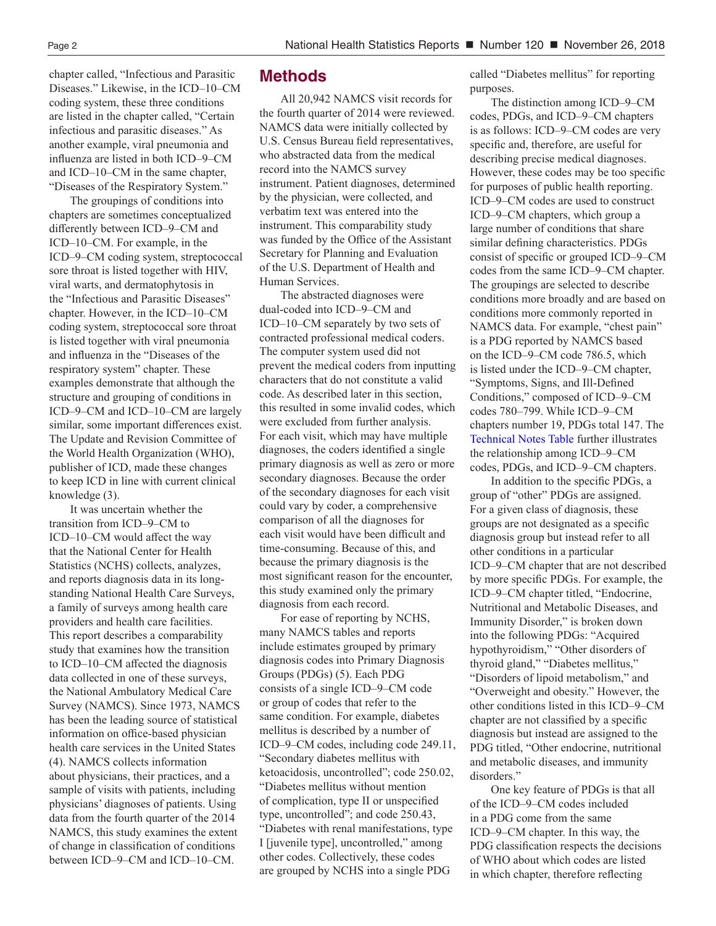chapter called, "Infectious and Parasitic Diseases." Likewise, in the ICD–10–CM coding system, these three conditions are listed in the chapter called, "Certain infectious and parasitic diseases." As another example, viral pneumonia and influenza are listed in both ICD–9–CM and ICD–10–CM in the same chapter, "Diseases of the Respiratory System."

The groupings of conditions into chapters are sometimes conceptualized differently between ICD–9–CM and ICD–10–CM. For example, in the ICD–9–CM coding system, streptococcal sore throat is listed together with HIV, viral warts, and dermatophytosis in the "Infectious and Parasitic Diseases" chapter. However, in the ICD–10–CM coding system, streptococcal sore throat is listed together with viral pneumonia and influenza in the "Diseases of the respiratory system" chapter. These examples demonstrate that although the structure and grouping of conditions in ICD–9–CM and ICD–10–CM are largely similar, some important differences exist. The Update and Revision Committee of the World Health Organization (WHO), publisher of ICD, made these changes to keep ICD in line with current clinical knowledge (3).

It was uncertain whether the transition from ICD–9–CM to ICD–10–CM would affect the way that the National Center for Health Statistics (NCHS) collects, analyzes, and reports diagnosis data in its longstanding National Health Care Surveys, a family of surveys among health care providers and health care facilities. This report describes a comparability study that examines how the transition to ICD–10–CM affected the diagnosis data collected in one of these surveys, the National Ambulatory Medical Care Survey (NAMCS). Since 1973, NAMCS has been the leading source of statistical information on office-based physician health care services in the United States (4). NAMCS collects information about physicians, their practices, and a sample of visits with patients, including physicians' diagnoses of patients. Using data from the fourth quarter of the 2014 NAMCS, this study examines the extent of change in classification of conditions between ICD–9–CM and ICD–10–CM.

#### **Methods**

All 20,942 NAMCS visit records for the fourth quarter of 2014 were reviewed. NAMCS data were initially collected by U.S. Census Bureau field representatives, who abstracted data from the medical record into the NAMCS survey instrument. Patient diagnoses, determined by the physician, were collected, and verbatim text was entered into the instrument. This comparability study was funded by the Office of the Assistant Secretary for Planning and Evaluation of the U.S. Department of Health and Human Services.

The abstracted diagnoses were dual-coded into ICD–9–CM and ICD–10–CM separately by two sets of contracted professional medical coders. The computer system used did not prevent the medical coders from inputting characters that do not constitute a valid code. As described later in this section, this resulted in some invalid codes, which were excluded from further analysis. For each visit, which may have multiple diagnoses, the coders identified a single primary diagnosis as well as zero or more secondary diagnoses. Because the order of the secondary diagnoses for each visit could vary by coder, a comprehensive comparison of all the diagnoses for each visit would have been difficult and time-consuming. Because of this, and because the primary diagnosis is the most significant reason for the encounter, this study examined only the primary diagnosis from each record.

For ease of reporting by NCHS, many NAMCS tables and reports include estimates grouped by primary diagnosis codes into Primary Diagnosis Groups (PDGs) (5). Each PDG consists of a single ICD–9–CM code or group of codes that refer to the same condition. For example, diabetes mellitus is described by a number of ICD–9–CM codes, including code 249.11, "Secondary diabetes mellitus with ketoacidosis, uncontrolled"; code 250.02, "Diabetes mellitus without mention of complication, type II or unspecified type, uncontrolled"; and code 250.43, "Diabetes with renal manifestations, type I [juvenile type], uncontrolled," among other codes. Collectively, these codes are grouped by NCHS into a single PDG

called "Diabetes mellitus" for reporting purposes.

The distinction among ICD–9–CM codes, PDGs, and ICD–9–CM chapters is as follows: ICD–9–CM codes are very specific and, therefore, are useful for describing precise medical diagnoses. However, these codes may be too specific for purposes of public health reporting. ICD–9–CM codes are used to construct ICD–9–CM chapters, which group a large number of conditions that share similar defining characteristics. PDGs consist of specific or grouped ICD–9–CM codes from the same ICD–9–CM chapter. The groupings are selected to describe conditions more broadly and are based on conditions more commonly reported in NAMCS data. For example, "chest pain" is a PDG reported by NAMCS based on the ICD–9–CM code 786.5, which is listed under the ICD–9–CM chapter, "Symptoms, Signs, and Ill-Defined Conditions," composed of ICD–9–CM codes 780–799. While ICD–9–CM chapters number 19, PDGs total 147. The [Technical Notes Table](#page-6-0) further illustrates the relationship among ICD–9–CM codes, PDGs, and ICD–9–CM chapters.

In addition to the specific PDGs, a group of "other" PDGs are assigned. For a given class of diagnosis, these groups are not designated as a specific diagnosis group but instead refer to all other conditions in a particular ICD–9–CM chapter that are not described by more specific PDGs. For example, the ICD–9–CM chapter titled, "Endocrine, Nutritional and Metabolic Diseases, and Immunity Disorder," is broken down into the following PDGs: "Acquired hypothyroidism," "Other disorders of thyroid gland," "Diabetes mellitus," "Disorders of lipoid metabolism," and "Overweight and obesity." However, the other conditions listed in this ICD–9–CM chapter are not classified by a specific diagnosis but instead are assigned to the PDG titled, "Other endocrine, nutritional and metabolic diseases, and immunity disorders."

One key feature of PDGs is that all of the ICD–9–CM codes included in a PDG come from the same ICD–9–CM chapter. In this way, the PDG classification respects the decisions of WHO about which codes are listed in which chapter, therefore reflecting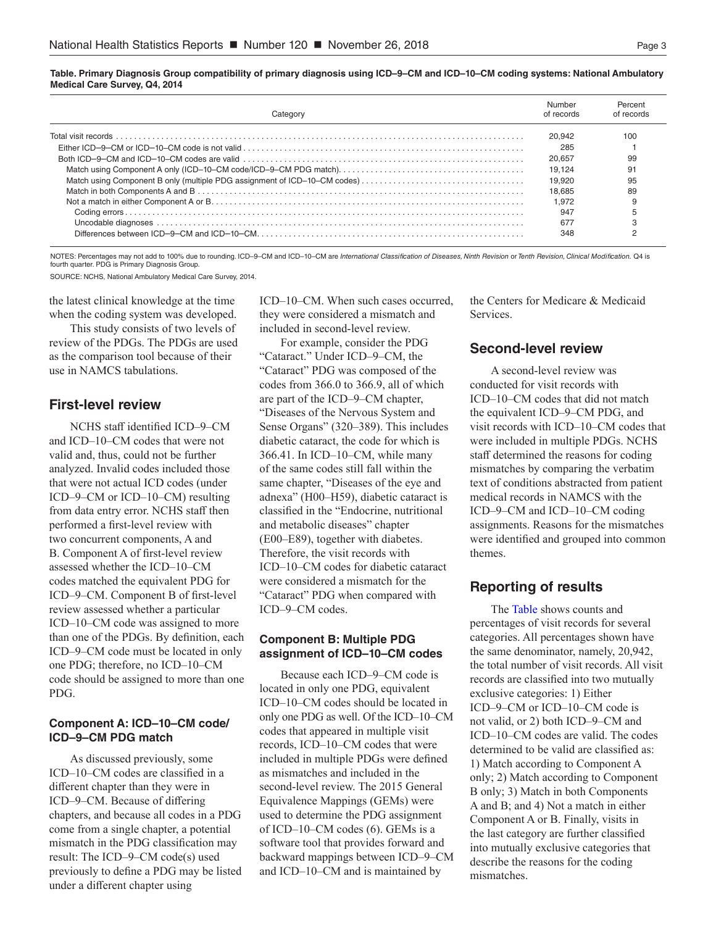<span id="page-2-0"></span>**Table. Primary Diagnosis Group compatibility of primary diagnosis using ICD–9–CM and ICD–10–CM coding systems: National Ambulatory Medical Care Survey, Q4, 2014**

| Category                                                                  | Number<br>of records | Percent<br>of records |
|---------------------------------------------------------------------------|----------------------|-----------------------|
|                                                                           | 20.942               | 100                   |
|                                                                           | 285                  |                       |
|                                                                           | 20.657               | 99                    |
|                                                                           | 19.124               | 91                    |
| Match using Component B only (multiple PDG assignment of ICD-10-CM codes) | 19.920               | 95                    |
|                                                                           | 18.685               | 89                    |
|                                                                           | 1.972                |                       |
|                                                                           | 947                  |                       |
|                                                                           | 67                   |                       |
|                                                                           | 348                  |                       |

NOTES: Percentages may not add to 100% due to rounding. ICD–9–CM and ICD–10–CM are *International Classification of Diseases, Ninth Revision* or *Tenth Revision, Clinical Modification.* Q4 is fourth quarter. PDG is Primary Diagnosis Group.

SOURCE: NCHS, National Ambulatory Medical Care Survey, 2014.

the latest clinical knowledge at the time when the coding system was developed.

This study consists of two levels of review of the PDGs. The PDGs are used as the comparison tool because of their use in NAMCS tabulations.

#### **First-level review**

NCHS staff identified ICD–9–CM and ICD–10–CM codes that were not valid and, thus, could not be further analyzed. Invalid codes included those that were not actual ICD codes (under ICD–9–CM or ICD–10–CM) resulting from data entry error. NCHS staff then performed a first-level review with two concurrent components, A and B. Component A of first-level review assessed whether the ICD–10–CM codes matched the equivalent PDG for ICD–9–CM. Component B of first-level review assessed whether a particular ICD–10–CM code was assigned to more than one of the PDGs. By definition, each ICD–9–CM code must be located in only one PDG; therefore, no ICD–10–CM code should be assigned to more than one PDG.

#### **Component A: ICD–10–CM code/ ICD–9–CM PDG match**

As discussed previously, some ICD–10–CM codes are classified in a different chapter than they were in ICD–9–CM. Because of differing chapters, and because all codes in a PDG come from a single chapter, a potential mismatch in the PDG classification may result: The ICD–9–CM code(s) used previously to define a PDG may be listed under a different chapter using

ICD–10–CM. When such cases occurred, they were considered a mismatch and included in second-level review.

For example, consider the PDG "Cataract." Under ICD–9–CM, the "Cataract" PDG was composed of the codes from 366.0 to 366.9, all of which are part of the ICD–9–CM chapter, "Diseases of the Nervous System and Sense Organs" (320–389). This includes diabetic cataract, the code for which is 366.41. In ICD–10–CM, while many of the same codes still fall within the same chapter, "Diseases of the eye and adnexa" (H00–H59), diabetic cataract is classified in the "Endocrine, nutritional and metabolic diseases" chapter (E00–E89), together with diabetes. Therefore, the visit records with ICD–10–CM codes for diabetic cataract were considered a mismatch for the "Cataract" PDG when compared with ICD–9–CM codes.

#### **Component B: Multiple PDG assignment of ICD–10–CM codes**

Because each ICD–9–CM code is located in only one PDG, equivalent ICD–10–CM codes should be located in only one PDG as well. Of the ICD–10–CM codes that appeared in multiple visit records, ICD–10–CM codes that were included in multiple PDGs were defined as mismatches and included in the second-level review. The 2015 General Equivalence Mappings (GEMs) were used to determine the PDG assignment of ICD–10–CM codes (6). GEMs is a software tool that provides forward and backward mappings between ICD–9–CM and ICD–10–CM and is maintained by

the Centers for Medicare & Medicaid Services.

#### **Second-level review**

A second-level review was conducted for visit records with ICD–10–CM codes that did not match the equivalent ICD–9–CM PDG, and visit records with ICD–10–CM codes that were included in multiple PDGs. NCHS staff determined the reasons for coding mismatches by comparing the verbatim text of conditions abstracted from patient medical records in NAMCS with the ICD–9–CM and ICD–10–CM coding assignments. Reasons for the mismatches were identified and grouped into common themes.

#### **Reporting of results**

The Table shows counts and percentages of visit records for several categories. All percentages shown have the same denominator, namely, 20,942, the total number of visit records. All visit records are classified into two mutually exclusive categories: 1) Either ICD–9–CM or ICD–10–CM code is not valid, or 2) both ICD–9–CM and ICD–10–CM codes are valid. The codes determined to be valid are classified as: 1) Match according to Component A only; 2) Match according to Component B only; 3) Match in both Components A and B; and 4) Not a match in either Component A or B. Finally, visits in the last category are further classified into mutually exclusive categories that describe the reasons for the coding mismatches.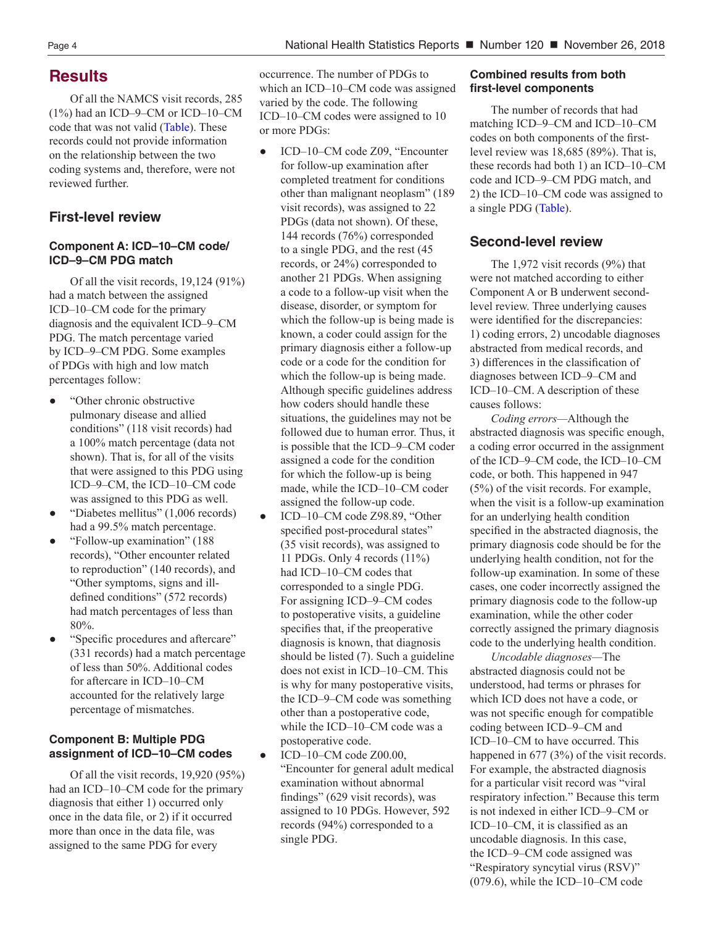## **Results**

Of all the NAMCS visit records, 285 (1%) had an ICD–9–CM or ICD–10–CM code that was not valid [\(Table\)](#page-2-0). These records could not provide information on the relationship between the two coding systems and, therefore, were not reviewed further.

## **First-level review**

#### **Component A: ICD–10–CM code/ ICD–9–CM PDG match**

Of all the visit records, 19,124 (91%) had a match between the assigned ICD–10–CM code for the primary diagnosis and the equivalent ICD–9–CM PDG. The match percentage varied by ICD–9–CM PDG. Some examples of PDGs with high and low match percentages follow:

- **●** "Other chronic obstructive pulmonary disease and allied conditions" (118 visit records) had a 100% match percentage (data not shown). That is, for all of the visits that were assigned to this PDG using ICD–9–CM, the ICD–10–CM code was assigned to this PDG as well.
- **●** "Diabetes mellitus" (1,006 records) had a 99.5% match percentage.
- **●** "Follow-up examination" (188 records), "Other encounter related to reproduction" (140 records), and "Other symptoms, signs and illdefined conditions" (572 records) had match percentages of less than 80%.
- **●** "Specific procedures and aftercare" (331 records) had a match percentage of less than 50%. Additional codes for aftercare in ICD–10–CM accounted for the relatively large percentage of mismatches.

#### **Component B: Multiple PDG assignment of ICD–10–CM codes**

Of all the visit records, 19,920 (95%) had an ICD–10–CM code for the primary diagnosis that either 1) occurred only once in the data file, or 2) if it occurred more than once in the data file, was assigned to the same PDG for every

occurrence. The number of PDGs to which an ICD–10–CM code was assigned varied by the code. The following ICD–10–CM codes were assigned to 10 or more PDGs:

- **●** ICD–10–CM code Z09, "Encounter for follow-up examination after completed treatment for conditions other than malignant neoplasm" (189 visit records), was assigned to 22 PDGs (data not shown). Of these, 144 records (76%) corresponded to a single PDG, and the rest (45 records, or 24%) corresponded to another 21 PDGs. When assigning a code to a follow-up visit when the disease, disorder, or symptom for which the follow-up is being made is known, a coder could assign for the primary diagnosis either a follow-up code or a code for the condition for which the follow-up is being made. Although specific guidelines address how coders should handle these situations, the guidelines may not be followed due to human error. Thus, it is possible that the ICD–9–CM coder assigned a code for the condition for which the follow-up is being made, while the ICD–10–CM coder assigned the follow-up code.
- ICD-10-CM code Z98.89, "Other specified post-procedural states" (35 visit records), was assigned to 11 PDGs. Only 4 records (11%) had ICD–10–CM codes that corresponded to a single PDG. For assigning ICD–9–CM codes to postoperative visits, a guideline specifies that, if the preoperative diagnosis is known, that diagnosis should be listed (7). Such a guideline does not exist in ICD–10–CM. This is why for many postoperative visits, the ICD–9–CM code was something other than a postoperative code, while the ICD–10–CM code was a postoperative code.
- **●** ICD–10–CM code Z00.00, "Encounter for general adult medical examination without abnormal findings" (629 visit records), was assigned to 10 PDGs. However, 592 records (94%) corresponded to a single PDG.

#### **Combined results from both first-level components**

The number of records that had matching ICD–9–CM and ICD–10–CM codes on both components of the firstlevel review was 18,685 (89%). That is, these records had both 1) an ICD–10–CM code and ICD–9–CM PDG match, and 2) the ICD–10–CM code was assigned to a single PDG [\(Table\).](#page-2-0)

## **Second-level review**

The 1,972 visit records (9%) that were not matched according to either Component A or B underwent secondlevel review. Three underlying causes were identified for the discrepancies: 1) coding errors, 2) uncodable diagnoses abstracted from medical records, and 3) differences in the classification of diagnoses between ICD–9–CM and ICD–10–CM. A description of these causes follows:

*Coding errors—*Although the abstracted diagnosis was specific enough, a coding error occurred in the assignment of the ICD–9–CM code, the ICD–10–CM code, or both. This happened in 947 (5%) of the visit records. For example, when the visit is a follow-up examination for an underlying health condition specified in the abstracted diagnosis, the primary diagnosis code should be for the underlying health condition, not for the follow-up examination. In some of these cases, one coder incorrectly assigned the primary diagnosis code to the follow-up examination, while the other coder correctly assigned the primary diagnosis code to the underlying health condition.

*Uncodable diagnoses—*The abstracted diagnosis could not be understood, had terms or phrases for which ICD does not have a code, or was not specific enough for compatible coding between ICD–9–CM and ICD–10–CM to have occurred. This happened in 677 (3%) of the visit records. For example, the abstracted diagnosis for a particular visit record was "viral respiratory infection." Because this term is not indexed in either ICD–9–CM or ICD–10–CM, it is classified as an uncodable diagnosis. In this case, the ICD–9–CM code assigned was "Respiratory syncytial virus (RSV)" (079.6), while the ICD–10–CM code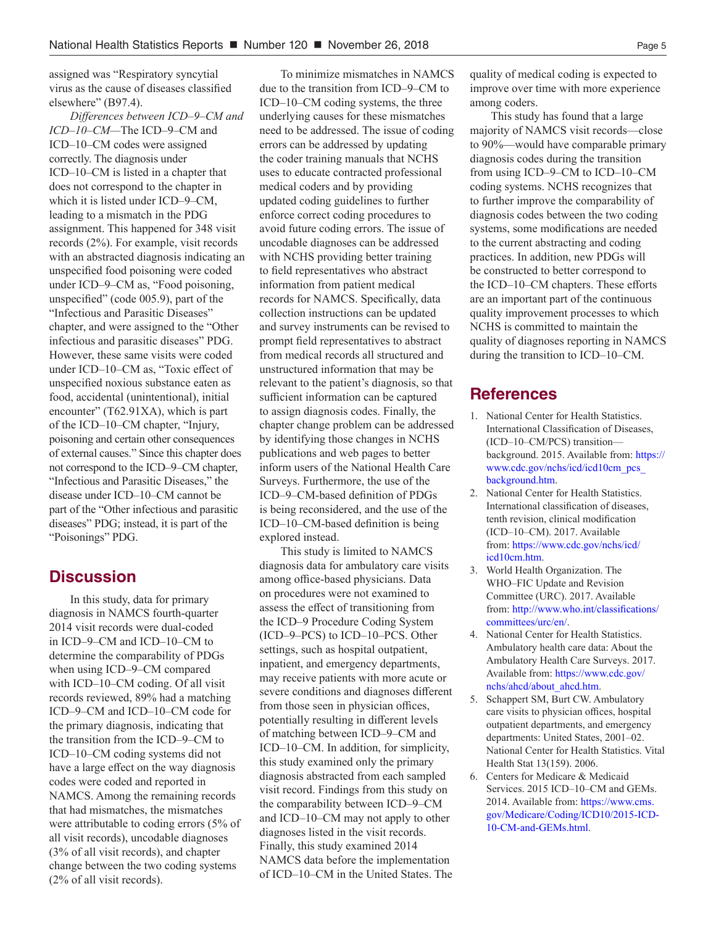assigned was "Respiratory syncytial virus as the cause of diseases classified elsewhere" (B97.4).

*Differences between ICD–9–CM and ICD–10–CM—*The ICD–9–CM and ICD–10–CM codes were assigned correctly. The diagnosis under ICD–10–CM is listed in a chapter that does not correspond to the chapter in which it is listed under ICD–9–CM, leading to a mismatch in the PDG assignment. This happened for 348 visit records (2%). For example, visit records with an abstracted diagnosis indicating an unspecified food poisoning were coded under ICD–9–CM as, "Food poisoning, unspecified" (code 005.9), part of the "Infectious and Parasitic Diseases" chapter, and were assigned to the "Other infectious and parasitic diseases" PDG. However, these same visits were coded under ICD–10–CM as, "Toxic effect of unspecified noxious substance eaten as food, accidental (unintentional), initial encounter" (T62.91XA), which is part of the ICD–10–CM chapter, "Injury, poisoning and certain other consequences of external causes." Since this chapter does not correspond to the ICD–9–CM chapter, "Infectious and Parasitic Diseases," the disease under ICD–10–CM cannot be part of the "Other infectious and parasitic diseases" PDG; instead, it is part of the "Poisonings" PDG.

### **Discussion**

In this study, data for primary diagnosis in NAMCS fourth-quarter 2014 visit records were dual-coded in ICD–9–CM and ICD–10–CM to determine the comparability of PDGs when using ICD–9–CM compared with ICD–10–CM coding. Of all visit records reviewed, 89% had a matching ICD–9–CM and ICD–10–CM code for the primary diagnosis, indicating that the transition from the ICD–9–CM to ICD–10–CM coding systems did not have a large effect on the way diagnosis codes were coded and reported in NAMCS. Among the remaining records that had mismatches, the mismatches were attributable to coding errors (5% of all visit records), uncodable diagnoses (3% of all visit records), and chapter change between the two coding systems (2% of all visit records).

To minimize mismatches in NAMCS due to the transition from ICD–9–CM to ICD–10–CM coding systems, the three underlying causes for these mismatches need to be addressed. The issue of coding errors can be addressed by updating the coder training manuals that NCHS uses to educate contracted professional medical coders and by providing updated coding guidelines to further enforce correct coding procedures to avoid future coding errors. The issue of uncodable diagnoses can be addressed with NCHS providing better training to field representatives who abstract information from patient medical records for NAMCS. Specifically, data collection instructions can be updated and survey instruments can be revised to prompt field representatives to abstract from medical records all structured and unstructured information that may be relevant to the patient's diagnosis, so that sufficient information can be captured to assign diagnosis codes. Finally, the chapter change problem can be addressed by identifying those changes in NCHS publications and web pages to better inform users of the National Health Care Surveys. Furthermore, the use of the ICD–9–CM-based definition of PDGs is being reconsidered, and the use of the ICD–10–CM-based definition is being explored instead.

This study is limited to NAMCS diagnosis data for ambulatory care visits among office-based physicians. Data on procedures were not examined to assess the effect of transitioning from the ICD–9 Procedure Coding System (ICD–9–PCS) to ICD–10–PCS. Other settings, such as hospital outpatient, inpatient, and emergency departments, may receive patients with more acute or severe conditions and diagnoses different from those seen in physician offices, potentially resulting in different levels of matching between ICD–9–CM and ICD–10–CM. In addition, for simplicity, this study examined only the primary diagnosis abstracted from each sampled visit record. Findings from this study on the comparability between ICD–9–CM and ICD–10–CM may not apply to other diagnoses listed in the visit records. Finally, this study examined 2014 NAMCS data before the implementation of ICD–10–CM in the United States. The quality of medical coding is expected to improve over time with more experience among coders.

This study has found that a large majority of NAMCS visit records—close to 90%—would have comparable primary diagnosis codes during the transition from using ICD–9–CM to ICD–10–CM coding systems. NCHS recognizes that to further improve the comparability of diagnosis codes between the two coding systems, some modifications are needed to the current abstracting and coding practices. In addition, new PDGs will be constructed to better correspond to the ICD–10–CM chapters. These efforts are an important part of the continuous quality improvement processes to which NCHS is committed to maintain the quality of diagnoses reporting in NAMCS during the transition to ICD–10–CM.

#### **References**

- 1. National Center for Health Statistics. International Classification of Diseases, (ICD–10–CM/PCS) transition background. 2015. Available from: [https://](https://www.cdc.gov/nchs/icd/icd10cm_pcs_background.htm) [www.cdc.gov/nchs/icd/icd10cm\\_pcs\\_](https://www.cdc.gov/nchs/icd/icd10cm_pcs_background.htm) [background.htm.](https://www.cdc.gov/nchs/icd/icd10cm_pcs_background.htm)
- 2. National Center for Health Statistics. International classification of diseases, tenth revision, clinical modification (ICD–10–CM). 2017. Available from: [https://www.cdc.gov/nchs/icd/](https://www.cdc.gov/nchs/icd/icd10cm.htm) [icd10cm.htm](https://www.cdc.gov/nchs/icd/icd10cm.htm).
- 3. World Health Organization. The WHO–FIC Update and Revision Committee (URC). 2017. Available from: [http://www.who.int/classifications/](http://www.who.int/classifications/committees/urc/en/) [committees/urc/en/.](http://www.who.int/classifications/committees/urc/en/)
- 4. National Center for Health Statistics. Ambulatory health care data: About the Ambulatory Health Care Surveys. 2017. Available from: [https://www.cdc.gov/](https://www.cdc.gov/nchs/ahcd/about_ahcd.htm) [nchs/ahcd/about\\_ahcd.htm](https://www.cdc.gov/nchs/ahcd/about_ahcd.htm).
- 5. Schappert SM, Burt CW. Ambulatory care visits to physician offices, hospital outpatient departments, and emergency departments: United States, 2001–02. National Center for Health Statistics. Vital Health Stat 13(159). 2006.
- 6. Centers for Medicare & Medicaid Services. 2015 ICD–10–CM and GEMs. 2014. Available from: [https://www.cms.](https://www.cms.gov/Medicare/Coding/ICD10/2015-ICD-10-CM-and-GEMs.html) [gov/Medicare/Coding/ICD10/2015-ICD-](https://www.cms.gov/Medicare/Coding/ICD10/2015-ICD-10-CM-and-GEMs.html)[10-CM-and-GEMs.html](https://www.cms.gov/Medicare/Coding/ICD10/2015-ICD-10-CM-and-GEMs.html).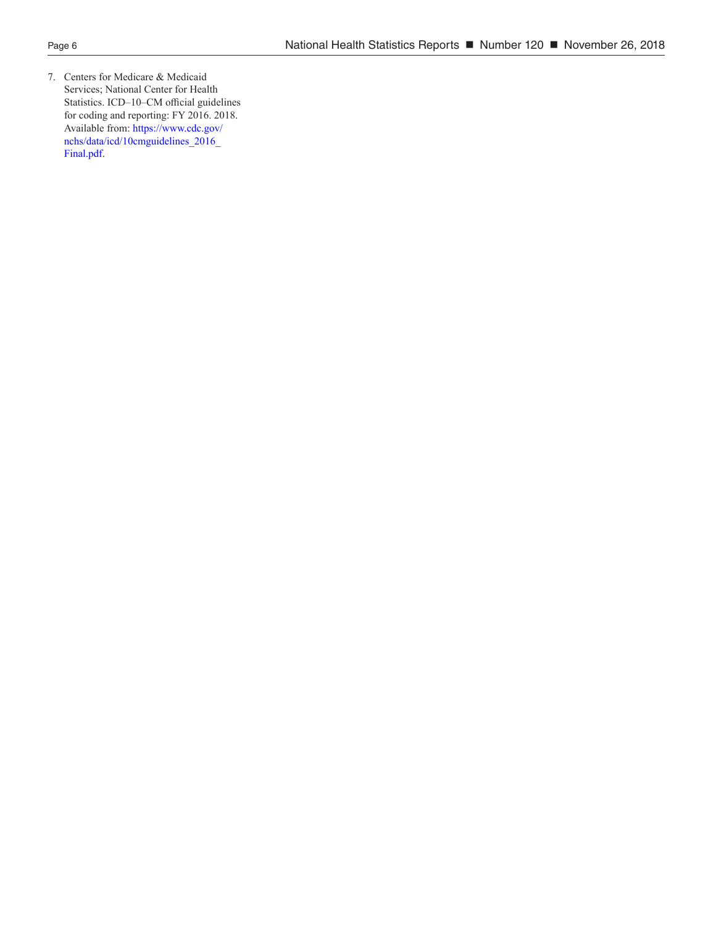7. Centers for Medicare & Medicaid Services; National Center for Health Statistics. ICD–10–CM official guidelines for coding and reporting: FY 2016. 2018. Available from: [https://www.cdc.gov/](https://www.cdc.gov/nchs/data/icd/10cmguidelines_2016_Final.pdf) [nchs/data/icd/10cmguidelines\\_2016\\_](https://www.cdc.gov/nchs/data/icd/10cmguidelines_2016_Final.pdf) [Final.pdf.](https://www.cdc.gov/nchs/data/icd/10cmguidelines_2016_Final.pdf)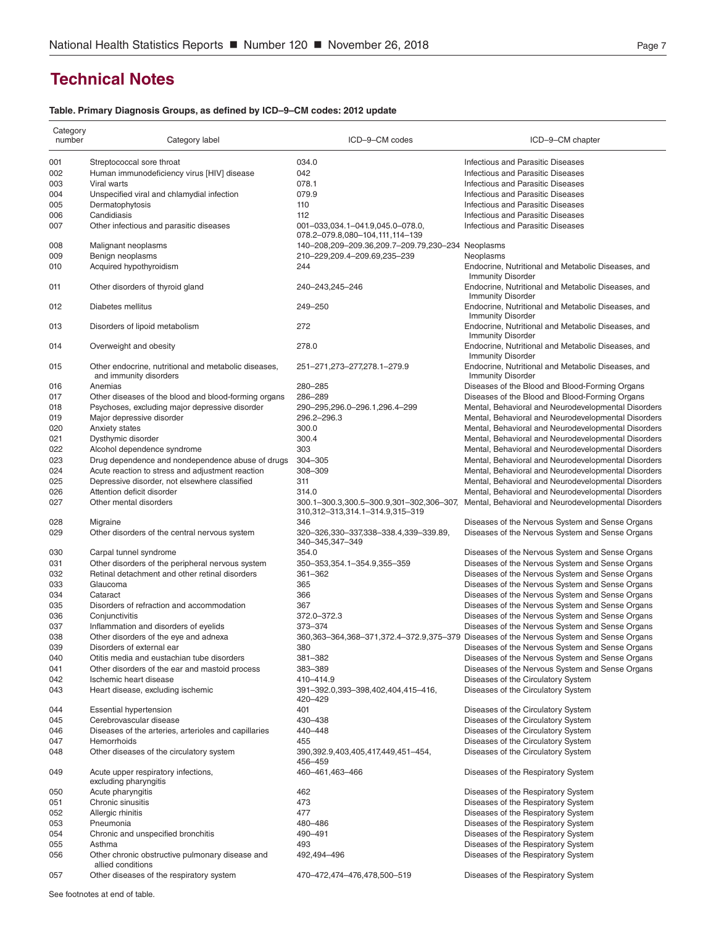## <span id="page-6-0"></span>**Technical Notes**

#### **Table. Primary Diagnosis Groups, as defined by ICD–9–CM codes: 2012 update**

| Category<br>number | Category label                                                | ICD-9-CM codes                                                              | ICD-9-CM chapter                                                                        |
|--------------------|---------------------------------------------------------------|-----------------------------------------------------------------------------|-----------------------------------------------------------------------------------------|
| 001                | Streptococcal sore throat                                     | 034.0                                                                       | <b>Infectious and Parasitic Diseases</b>                                                |
| 002                | Human immunodeficiency virus [HIV] disease                    | 042                                                                         | <b>Infectious and Parasitic Diseases</b>                                                |
| 003                | Viral warts                                                   | 078.1                                                                       | <b>Infectious and Parasitic Diseases</b>                                                |
| 004                | Unspecified viral and chlamydial infection                    | 079.9                                                                       | <b>Infectious and Parasitic Diseases</b>                                                |
|                    |                                                               |                                                                             |                                                                                         |
| 005                | Dermatophytosis                                               | 110                                                                         | <b>Infectious and Parasitic Diseases</b>                                                |
| 006                | Candidiasis                                                   | 112                                                                         | <b>Infectious and Parasitic Diseases</b>                                                |
| 007                | Other infectious and parasitic diseases                       | 001-033,034.1-041.9,045.0-078.0,                                            | <b>Infectious and Parasitic Diseases</b>                                                |
|                    |                                                               | 078.2-079.8,080-104,111,114-139                                             |                                                                                         |
| 008                | Malignant neoplasms                                           | 140-208,209-209.36,209.7-209.79,230-234 Neoplasms                           |                                                                                         |
| 009                | Benign neoplasms                                              | 210-229,209.4-209.69,235-239                                                | Neoplasms                                                                               |
| 010                | Acquired hypothyroidism                                       | 244                                                                         | Endocrine, Nutritional and Metabolic Diseases, and<br><b>Immunity Disorder</b>          |
| 011                | Other disorders of thyroid gland                              | 240-243,245-246                                                             | Endocrine, Nutritional and Metabolic Diseases, and<br><b>Immunity Disorder</b>          |
| 012                | Diabetes mellitus                                             | 249-250                                                                     | Endocrine, Nutritional and Metabolic Diseases, and<br><b>Immunity Disorder</b>          |
| 013                | Disorders of lipoid metabolism                                | 272                                                                         | Endocrine, Nutritional and Metabolic Diseases, and<br><b>Immunity Disorder</b>          |
| 014                | Overweight and obesity                                        | 278.0                                                                       | Endocrine, Nutritional and Metabolic Diseases, and<br><b>Immunity Disorder</b>          |
| 015                | Other endocrine, nutritional and metabolic diseases,          | 251-271, 273-277, 278. 1-279. 9                                             | Endocrine, Nutritional and Metabolic Diseases, and                                      |
|                    | and immunity disorders                                        |                                                                             | <b>Immunity Disorder</b>                                                                |
| 016                | Anemias                                                       | 280-285                                                                     | Diseases of the Blood and Blood-Forming Organs                                          |
| 017                | Other diseases of the blood and blood-forming organs          | 286-289                                                                     | Diseases of the Blood and Blood-Forming Organs                                          |
| 018                | Psychoses, excluding major depressive disorder                | 290-295,296.0-296.1,296.4-299                                               | Mental, Behavioral and Neurodevelopmental Disorders                                     |
| 019                | Major depressive disorder                                     | 296.2-296.3                                                                 | Mental, Behavioral and Neurodevelopmental Disorders                                     |
| 020                | Anxiety states                                                | 300.0                                                                       | Mental, Behavioral and Neurodevelopmental Disorders                                     |
| 021                | Dysthymic disorder                                            | 300.4                                                                       | Mental, Behavioral and Neurodevelopmental Disorders                                     |
| 022                | Alcohol dependence syndrome                                   | 303                                                                         | Mental, Behavioral and Neurodevelopmental Disorders                                     |
| 023                | Drug dependence and nondependence abuse of drugs              | 304-305                                                                     | Mental, Behavioral and Neurodevelopmental Disorders                                     |
| 024                |                                                               | 308-309                                                                     |                                                                                         |
|                    | Acute reaction to stress and adjustment reaction              |                                                                             | Mental, Behavioral and Neurodevelopmental Disorders                                     |
| 025                | Depressive disorder, not elsewhere classified                 | 311                                                                         | Mental, Behavioral and Neurodevelopmental Disorders                                     |
| 026                | Attention deficit disorder                                    | 314.0                                                                       | Mental, Behavioral and Neurodevelopmental Disorders                                     |
| 027                | Other mental disorders                                        | 300.1-300.3,300.5-300.9,301-302,306-307,<br>310,312-313,314.1-314.9,315-319 | Mental, Behavioral and Neurodevelopmental Disorders                                     |
| 028                | Migraine                                                      | 346                                                                         | Diseases of the Nervous System and Sense Organs                                         |
| 029                | Other disorders of the central nervous system                 | 320-326,330-337,338-338.4,339-339.89,<br>340-345,347-349                    | Diseases of the Nervous System and Sense Organs                                         |
| 030                | Carpal tunnel syndrome                                        | 354.0                                                                       | Diseases of the Nervous System and Sense Organs                                         |
| 031                | Other disorders of the peripheral nervous system              | 350-353,354.1-354.9,355-359                                                 | Diseases of the Nervous System and Sense Organs                                         |
| 032                | Retinal detachment and other retinal disorders                | 361-362                                                                     | Diseases of the Nervous System and Sense Organs                                         |
| 033                | Glaucoma                                                      | 365                                                                         | Diseases of the Nervous System and Sense Organs                                         |
|                    |                                                               |                                                                             |                                                                                         |
| 034                | Cataract                                                      | 366                                                                         | Diseases of the Nervous System and Sense Organs                                         |
| 035                | Disorders of refraction and accommodation                     | 367                                                                         | Diseases of the Nervous System and Sense Organs                                         |
| 036                | Conjunctivitis                                                | 372.0-372.3                                                                 | Diseases of the Nervous System and Sense Organs                                         |
| 037                | Inflammation and disorders of eyelids                         | 373-374                                                                     | Diseases of the Nervous System and Sense Organs                                         |
| 038                | Other disorders of the eye and adnexa                         |                                                                             | 360,363-364,368-371,372.4-372.9,375-379 Diseases of the Nervous System and Sense Organs |
| 039                | Disorders of external ear                                     | 380                                                                         | Diseases of the Nervous System and Sense Organs                                         |
| 040                | Otitis media and eustachian tube disorders                    | 381-382                                                                     | Diseases of the Nervous System and Sense Organs                                         |
| 041                | Other disorders of the ear and mastoid process                | 383-389                                                                     | Diseases of the Nervous System and Sense Organs                                         |
| 042                | Ischemic heart disease                                        | 410-414.9                                                                   | Diseases of the Circulatory System                                                      |
| 043                | Heart disease, excluding ischemic                             | 391-392.0,393-398,402,404,415-416,                                          | Diseases of the Circulatory System                                                      |
|                    |                                                               | 420-429                                                                     |                                                                                         |
| 044                | <b>Essential hypertension</b>                                 | 401                                                                         | Diseases of the Circulatory System                                                      |
| 045                | Cerebrovascular disease                                       | 430-438                                                                     | Diseases of the Circulatory System                                                      |
| 046                | Diseases of the arteries, arterioles and capillaries          | 440-448                                                                     | Diseases of the Circulatory System                                                      |
| 047                | Hemorrhoids                                                   | 455                                                                         | Diseases of the Circulatory System                                                      |
| 048                | Other diseases of the circulatory system                      | 390,392.9,403,405,417,449,451-454,<br>456-459                               | Diseases of the Circulatory System                                                      |
| 049                | Acute upper respiratory infections,<br>excluding pharyngitis  | 460-461,463-466                                                             | Diseases of the Respiratory System                                                      |
|                    |                                                               |                                                                             |                                                                                         |
| 050                | Acute pharyngitis                                             | 462                                                                         | Diseases of the Respiratory System                                                      |
| 051                | Chronic sinusitis                                             | 473                                                                         | Diseases of the Respiratory System                                                      |
| 052                | Allergic rhinitis                                             | 477                                                                         | Diseases of the Respiratory System                                                      |
| 053                | Pneumonia                                                     | 480-486                                                                     | Diseases of the Respiratory System                                                      |
| 054                | Chronic and unspecified bronchitis                            | 490-491                                                                     | Diseases of the Respiratory System                                                      |
| 055                | Asthma                                                        | 493                                                                         | Diseases of the Respiratory System                                                      |
| 056                | Other chronic obstructive pulmonary disease and               | 492,494-496                                                                 | Diseases of the Respiratory System                                                      |
| 057                | allied conditions<br>Other diseases of the respiratory system | 470-472,474-476,478,500-519                                                 | Diseases of the Respiratory System                                                      |
|                    |                                                               |                                                                             |                                                                                         |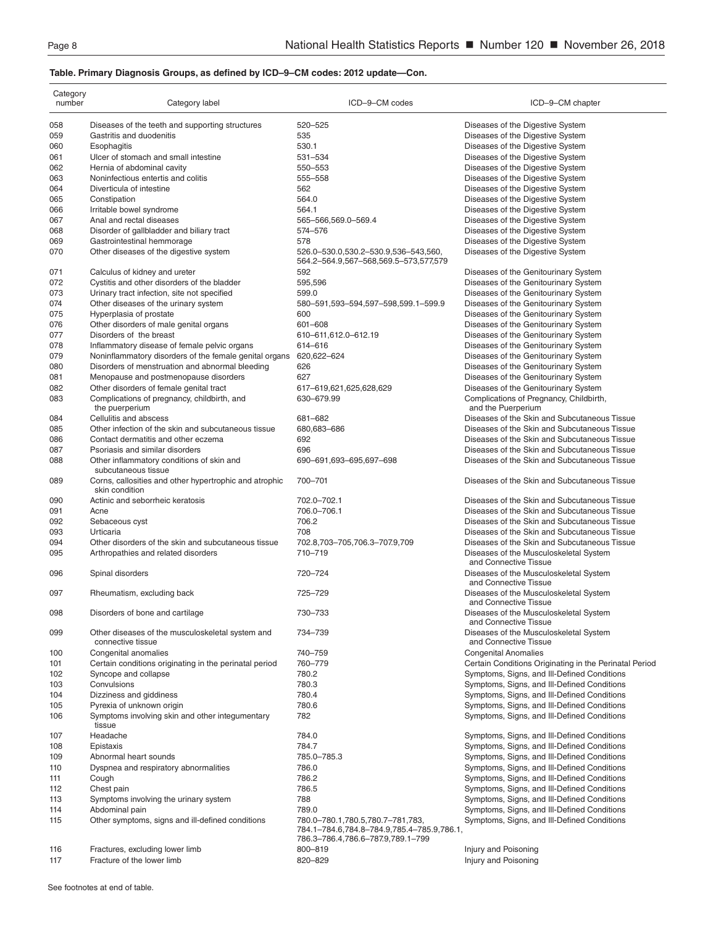#### **Table. Primary Diagnosis Groups, as defined by ICD–9–CM codes: 2012 update—Con.**

| Category<br>number | Category label                                                           | ICD-9-CM codes                                                                                                      | ICD-9-CM chapter                                                |
|--------------------|--------------------------------------------------------------------------|---------------------------------------------------------------------------------------------------------------------|-----------------------------------------------------------------|
| 058                | Diseases of the teeth and supporting structures                          | 520-525                                                                                                             | Diseases of the Digestive System                                |
| 059                | Gastritis and duodenitis                                                 | 535                                                                                                                 | Diseases of the Digestive System                                |
|                    |                                                                          |                                                                                                                     |                                                                 |
| 060                | Esophagitis                                                              | 530.1                                                                                                               | Diseases of the Digestive System                                |
| 061                | Ulcer of stomach and small intestine                                     | 531-534                                                                                                             | Diseases of the Digestive System                                |
| 062                | Hernia of abdominal cavity                                               | 550-553                                                                                                             | Diseases of the Digestive System                                |
| 063                | Noninfectious entertis and colitis                                       | 555-558                                                                                                             | Diseases of the Digestive System                                |
| 064                | Diverticula of intestine                                                 | 562                                                                                                                 | Diseases of the Digestive System                                |
| 065                | Constipation                                                             | 564.0                                                                                                               | Diseases of the Digestive System                                |
| 066                | Irritable bowel syndrome                                                 | 564.1                                                                                                               | Diseases of the Digestive System                                |
| 067                | Anal and rectal diseases                                                 | 565-566,569.0-569.4                                                                                                 | Diseases of the Digestive System                                |
| 068                | Disorder of gallbladder and biliary tract                                | 574-576                                                                                                             | Diseases of the Digestive System                                |
| 069                | Gastrointestinal hemmorage                                               | 578                                                                                                                 | Diseases of the Digestive System                                |
| 070                | Other diseases of the digestive system                                   | 526.0-530.0,530.2-530.9,536-543,560,<br>564.2-564.9,567-568,569.5-573,577,579                                       | Diseases of the Digestive System                                |
| 071                | Calculus of kidney and ureter                                            | 592                                                                                                                 | Diseases of the Genitourinary System                            |
| 072                | Cystitis and other disorders of the bladder                              | 595,596                                                                                                             | Diseases of the Genitourinary System                            |
| 073                | Urinary tract infection, site not specified                              | 599.0                                                                                                               | Diseases of the Genitourinary System                            |
| 074                | Other diseases of the urinary system                                     | 580-591,593-594,597-598,599.1-599.9                                                                                 | Diseases of the Genitourinary System                            |
|                    |                                                                          | 600                                                                                                                 |                                                                 |
| 075                | Hyperplasia of prostate                                                  |                                                                                                                     | Diseases of the Genitourinary System                            |
| 076                | Other disorders of male genital organs                                   | 601-608                                                                                                             | Diseases of the Genitourinary System                            |
| 077                | Disorders of the breast                                                  | 610-611,612.0-612.19                                                                                                | Diseases of the Genitourinary System                            |
| 078                | Inflammatory disease of female pelvic organs                             | 614-616                                                                                                             | Diseases of the Genitourinary System                            |
| 079                | Noninflammatory disorders of the female genital organs                   | 620,622-624                                                                                                         | Diseases of the Genitourinary System                            |
| 080                | Disorders of menstruation and abnormal bleeding                          | 626                                                                                                                 | Diseases of the Genitourinary System                            |
| 081                | Menopause and postmenopause disorders                                    | 627                                                                                                                 | Diseases of the Genitourinary System                            |
| 082                | Other disorders of female genital tract                                  | 617-619,621,625,628,629                                                                                             | Diseases of the Genitourinary System                            |
| 083                | Complications of pregnancy, childbirth, and<br>the puerperium            | 630-679.99                                                                                                          | Complications of Pregnancy, Childbirth,<br>and the Puerperium   |
| 084                | Cellulitis and abscess                                                   | 681-682                                                                                                             | Diseases of the Skin and Subcutaneous Tissue                    |
| 085                | Other infection of the skin and subcutaneous tissue                      | 680,683-686                                                                                                         | Diseases of the Skin and Subcutaneous Tissue                    |
| 086                | Contact dermatitis and other eczema                                      | 692                                                                                                                 | Diseases of the Skin and Subcutaneous Tissue                    |
| 087                | Psoriasis and similar disorders                                          | 696                                                                                                                 | Diseases of the Skin and Subcutaneous Tissue                    |
| 088                | Other inflammatory conditions of skin and<br>subcutaneous tissue         | 690-691,693-695,697-698                                                                                             | Diseases of the Skin and Subcutaneous Tissue                    |
| 089                | Corns, callosities and other hypertrophic and atrophic<br>skin condition | 700-701                                                                                                             | Diseases of the Skin and Subcutaneous Tissue                    |
| 090                | Actinic and seborrheic keratosis                                         | 702.0-702.1                                                                                                         | Diseases of the Skin and Subcutaneous Tissue                    |
| 091                | Acne                                                                     | 706.0-706.1                                                                                                         | Diseases of the Skin and Subcutaneous Tissue                    |
| 092                | Sebaceous cyst                                                           | 706.2                                                                                                               | Diseases of the Skin and Subcutaneous Tissue                    |
| 093                | Urticaria                                                                | 708                                                                                                                 | Diseases of the Skin and Subcutaneous Tissue                    |
| 094                | Other disorders of the skin and subcutaneous tissue                      | 702.8,703-705,706.3-707.9,709                                                                                       | Diseases of the Skin and Subcutaneous Tissue                    |
| 095                | Arthropathies and related disorders                                      | 710-719                                                                                                             | Diseases of the Musculoskeletal System<br>and Connective Tissue |
| 096                | Spinal disorders                                                         | 720-724                                                                                                             | Diseases of the Musculoskeletal System<br>and Connective Tissue |
| 097                | Rheumatism, excluding back                                               | 725-729                                                                                                             | Diseases of the Musculoskeletal System<br>and Connective Tissue |
| 098                | Disorders of bone and cartilage                                          | 730-733                                                                                                             | Diseases of the Musculoskeletal System<br>and Connective Tissue |
| 099                | Other diseases of the musculoskeletal system and                         | 734-739                                                                                                             | Diseases of the Musculoskeletal System                          |
|                    | connective tissue                                                        |                                                                                                                     | and Connective Tissue                                           |
| 100                | Congenital anomalies                                                     | 740-759                                                                                                             | <b>Congenital Anomalies</b>                                     |
| 101                | Certain conditions originating in the perinatal period                   | 760-779                                                                                                             | Certain Conditions Originating in the Perinatal Period          |
| 102                | Syncope and collapse                                                     | 780.2                                                                                                               | Symptoms, Signs, and III-Defined Conditions                     |
| 103                | Convulsions                                                              | 780.3                                                                                                               | Symptoms, Signs, and III-Defined Conditions                     |
| 104                | Dizziness and giddiness                                                  | 780.4                                                                                                               | Symptoms, Signs, and III-Defined Conditions                     |
| 105                | Pyrexia of unknown origin                                                | 780.6                                                                                                               | Symptoms, Signs, and III-Defined Conditions                     |
| 106                | Symptoms involving skin and other integumentary<br>tissue                | 782                                                                                                                 | Symptoms, Signs, and III-Defined Conditions                     |
| 107                | Headache                                                                 | 784.0                                                                                                               | Symptoms, Signs, and III-Defined Conditions                     |
| 108                | Epistaxis                                                                | 784.7                                                                                                               | Symptoms, Signs, and III-Defined Conditions                     |
| 109                | Abnormal heart sounds                                                    | 785.0-785.3                                                                                                         | Symptoms, Signs, and III-Defined Conditions                     |
| 110                | Dyspnea and respiratory abnormalities                                    | 786.0                                                                                                               | Symptoms, Signs, and III-Defined Conditions                     |
|                    |                                                                          |                                                                                                                     |                                                                 |
| 111                | Cough                                                                    | 786.2                                                                                                               | Symptoms, Signs, and III-Defined Conditions                     |
| 112                | Chest pain                                                               | 786.5                                                                                                               | Symptoms, Signs, and III-Defined Conditions                     |
| 113                | Symptoms involving the urinary system                                    | 788                                                                                                                 | Symptoms, Signs, and III-Defined Conditions                     |
| 114                | Abdominal pain                                                           | 789.0                                                                                                               | Symptoms, Signs, and III-Defined Conditions                     |
| 115                | Other symptoms, signs and ill-defined conditions                         | 780.0-780.1,780.5,780.7-781,783,<br>784.1-784.6,784.8-784.9,785.4-785.9,786.1,<br>786.3-786.4,786.6-787.9,789.1-799 | Symptoms, Signs, and III-Defined Conditions                     |
| 116                | Fractures, excluding lower limb                                          | 800-819                                                                                                             | Injury and Poisoning                                            |
| 117                | Fracture of the lower limb                                               | 820-829                                                                                                             | Injury and Poisoning                                            |
|                    |                                                                          |                                                                                                                     |                                                                 |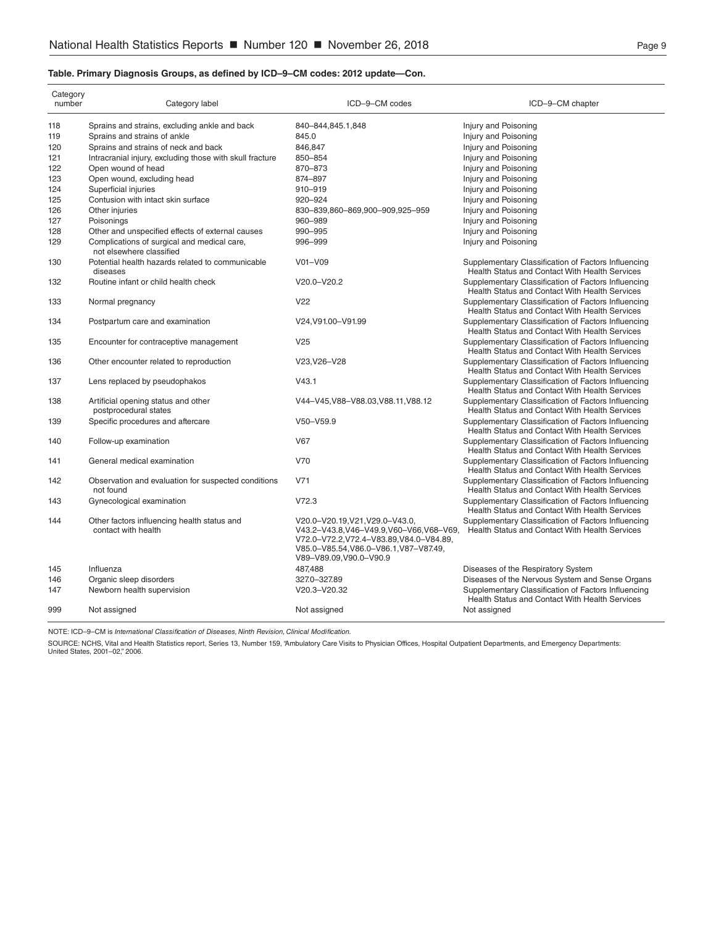#### **Table. Primary Diagnosis Groups, as defined by ICD–9–CM codes: 2012 update—Con.**

| Category<br>number | Category label                                                          | ICD-9-CM codes                                                                                                                                                                                | ICD-9-CM chapter                                                                                      |
|--------------------|-------------------------------------------------------------------------|-----------------------------------------------------------------------------------------------------------------------------------------------------------------------------------------------|-------------------------------------------------------------------------------------------------------|
| 118                | Sprains and strains, excluding ankle and back                           | 840-844,845.1,848                                                                                                                                                                             | Injury and Poisoning                                                                                  |
| 119                | Sprains and strains of ankle                                            | 845.0                                                                                                                                                                                         | Injury and Poisoning                                                                                  |
| 120                | Sprains and strains of neck and back                                    | 846.847                                                                                                                                                                                       | Injury and Poisoning                                                                                  |
| 121                | Intracranial injury, excluding those with skull fracture                | 850-854                                                                                                                                                                                       | Injury and Poisoning                                                                                  |
| 122                | Open wound of head                                                      | 870-873                                                                                                                                                                                       | Injury and Poisoning                                                                                  |
| 123                | Open wound, excluding head                                              | 874-897                                                                                                                                                                                       | Injury and Poisoning                                                                                  |
| 124                | Superficial injuries                                                    | 910-919                                                                                                                                                                                       | Injury and Poisoning                                                                                  |
| 125                | Contusion with intact skin surface                                      | 920-924                                                                                                                                                                                       | Injury and Poisoning                                                                                  |
| 126                | Other injuries                                                          | 830-839,860-869,900-909,925-959                                                                                                                                                               | Injury and Poisoning                                                                                  |
| 127                | Poisonings                                                              | 960-989                                                                                                                                                                                       | Injury and Poisoning                                                                                  |
| 128                | Other and unspecified effects of external causes                        | 990-995                                                                                                                                                                                       | Injury and Poisoning                                                                                  |
| 129                | Complications of surgical and medical care,<br>not elsewhere classified | 996-999                                                                                                                                                                                       | Injury and Poisoning                                                                                  |
| 130                | Potential health hazards related to communicable<br>diseases            | $V01 - V09$                                                                                                                                                                                   | Supplementary Classification of Factors Influencing<br>Health Status and Contact With Health Services |
| 132                | Routine infant or child health check                                    | $V20.0 - V20.2$                                                                                                                                                                               | Supplementary Classification of Factors Influencing<br>Health Status and Contact With Health Services |
| 133                | Normal pregnancy                                                        | V <sub>22</sub>                                                                                                                                                                               | Supplementary Classification of Factors Influencing<br>Health Status and Contact With Health Services |
| 134                | Postpartum care and examination                                         | V24, V91.00-V91.99                                                                                                                                                                            | Supplementary Classification of Factors Influencing<br>Health Status and Contact With Health Services |
| 135                | Encounter for contraceptive management                                  | V <sub>25</sub>                                                                                                                                                                               | Supplementary Classification of Factors Influencing<br>Health Status and Contact With Health Services |
| 136                | Other encounter related to reproduction                                 | V23, V26-V28                                                                                                                                                                                  | Supplementary Classification of Factors Influencing<br>Health Status and Contact With Health Services |
| 137                | Lens replaced by pseudophakos                                           | V43.1                                                                                                                                                                                         | Supplementary Classification of Factors Influencing<br>Health Status and Contact With Health Services |
| 138                | Artificial opening status and other<br>postprocedural states            | V44-V45.V88-V88.03.V88.11.V88.12                                                                                                                                                              | Supplementary Classification of Factors Influencing<br>Health Status and Contact With Health Services |
| 139                | Specific procedures and aftercare                                       | $V50 - V59.9$                                                                                                                                                                                 | Supplementary Classification of Factors Influencing<br>Health Status and Contact With Health Services |
| 140                | Follow-up examination                                                   | <b>V67</b>                                                                                                                                                                                    | Supplementary Classification of Factors Influencing<br>Health Status and Contact With Health Services |
| 141                | General medical examination                                             | V70                                                                                                                                                                                           | Supplementary Classification of Factors Influencing<br>Health Status and Contact With Health Services |
| 142                | Observation and evaluation for suspected conditions<br>not found        | V71                                                                                                                                                                                           | Supplementary Classification of Factors Influencing<br>Health Status and Contact With Health Services |
| 143                | Gynecological examination                                               | V72.3                                                                                                                                                                                         | Supplementary Classification of Factors Influencing<br>Health Status and Contact With Health Services |
| 144                | Other factors influencing health status and<br>contact with health      | V20.0-V20.19, V21, V29.0-V43.0,<br>V43.2-V43.8, V46-V49.9, V60-V66, V68-V69,<br>V72.0-V72.2, V72.4-V83.89, V84.0-V84.89,<br>V85.0-V85.54, V86.0-V86.1, V87-V87.49,<br>V89-V89.09, V90.0-V90.9 | Supplementary Classification of Factors Influencing<br>Health Status and Contact With Health Services |
| 145                | Influenza                                                               | 487,488                                                                                                                                                                                       | Diseases of the Respiratory System                                                                    |
| 146                | Organic sleep disorders                                                 | 327.0-327.89                                                                                                                                                                                  | Diseases of the Nervous System and Sense Organs                                                       |
| 147                | Newborn health supervision                                              | V20.3-V20.32                                                                                                                                                                                  | Supplementary Classification of Factors Influencing<br>Health Status and Contact With Health Services |
| 999                | Not assigned                                                            | Not assigned                                                                                                                                                                                  | Not assigned                                                                                          |

NOTE: ICD–9–CM is *International Classification of Diseases, Ninth Revision, Clinical Modification.*

SOURCE: NCHS, Vital and Health Statistics report, Series 13, Number 159, "Ambulatory Care Visits to Physician Offices, Hospital Outpatient Departments, and Emergency Departments:<br>United States, 2001–02," 2006.